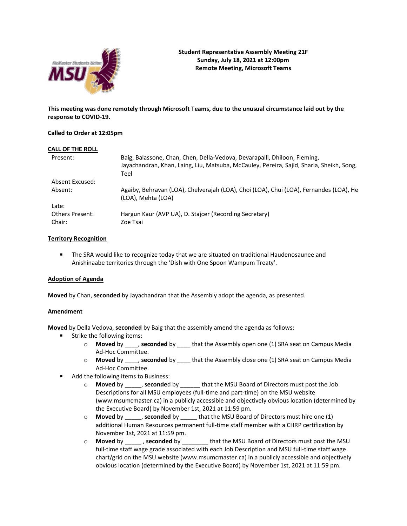

**This meeting was done remotely through Microsoft Teams, due to the unusual circumstance laid out by the response to COVID-19.**

## **Called to Order at 12:05pm**

| CALL OF THE ROLL          |                                                                                                                                                                               |
|---------------------------|-------------------------------------------------------------------------------------------------------------------------------------------------------------------------------|
| Present:                  | Baig, Balassone, Chan, Chen, Della-Vedova, Devarapalli, Dhiloon, Fleming,<br>Jayachandran, Khan, Laing, Liu, Matsuba, McCauley, Pereira, Sajid, Sharia, Sheikh, Song,<br>Teel |
| Absent Excused:           |                                                                                                                                                                               |
| Absent:                   | Agaiby, Behravan (LOA), Chelverajah (LOA), Choi (LOA), Chui (LOA), Fernandes (LOA), He<br>(LOA), Mehta (LOA)                                                                  |
| Late:                     |                                                                                                                                                                               |
| Others Present:<br>Chair: | Hargun Kaur (AVP UA), D. Stajcer (Recording Secretary)<br>Zoe Tsai                                                                                                            |
|                           |                                                                                                                                                                               |

## **Territory Recognition**

**The SRA would like to recognize today that we are situated on traditional Haudenosaunee and** Anishinaabe territories through the 'Dish with One Spoon Wampum Treaty'.

### **Adoption of Agenda**

**Moved** by Chan, **seconded** by Jayachandran that the Assembly adopt the agenda, as presented.

### **Amendment**

**Moved** by Della Vedova, **seconded** by Baig that the assembly amend the agenda as follows:

- **Strike the following items:** 
	- o **Moved** by \_\_\_\_, **seconded** by \_\_\_\_ that the Assembly open one (1) SRA seat on Campus Media Ad-Hoc Committee.
	- o **Moved** by \_\_\_\_, **seconded** by \_\_\_\_ that the Assembly close one (1) SRA seat on Campus Media Ad-Hoc Committee.
- $\blacksquare$ Add the following items to Business:
	- o **Moved** by \_\_\_\_\_, **seconde**d by \_\_\_\_\_\_ that the MSU Board of Directors must post the Job Descriptions for all MSU employees (full-time and part-time) on the MSU website (www.msumcmaster.ca) in a publicly accessible and objectively obvious location (determined by the Executive Board) by November 1st, 2021 at 11:59 pm.
	- o **Moved** by \_\_\_\_\_, **seconded** by \_\_\_\_\_ that the MSU Board of Directors must hire one (1) additional Human Resources permanent full-time staff member with a CHRP certification by November 1st, 2021 at 11:59 pm.
	- o **Moved** by \_\_\_\_\_ , **seconded** by \_\_\_\_\_\_\_\_ that the MSU Board of Directors must post the MSU full-time staff wage grade associated with each Job Description and MSU full-time staff wage chart/grid on the MSU website (www.msumcmaster.ca) in a publicly accessible and objectively obvious location (determined by the Executive Board) by November 1st, 2021 at 11:59 pm.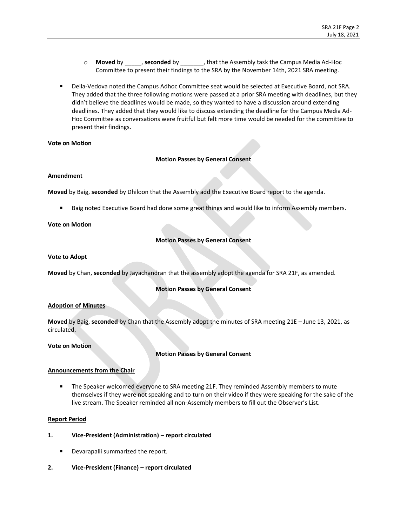- o **Moved** by \_\_\_\_\_, **seconded** by \_\_\_\_\_\_\_, that the Assembly task the Campus Media Ad-Hoc Committee to present their findings to the SRA by the November 14th, 2021 SRA meeting.
- **Phila-Vedova noted the Campus Adhoc Committee seat would be selected at Executive Board, not SRA.** They added that the three following motions were passed at a prior SRA meeting with deadlines, but they didn't believe the deadlines would be made, so they wanted to have a discussion around extending deadlines. They added that they would like to discuss extending the deadline for the Campus Media Ad-Hoc Committee as conversations were fruitful but felt more time would be needed for the committee to present their findings.

### **Vote on Motion**

### **Motion Passes by General Consent**

#### **Amendment**

**Moved** by Baig, **seconded** by Dhiloon that the Assembly add the Executive Board report to the agenda.

Baig noted Executive Board had done some great things and would like to inform Assembly members.

### **Vote on Motion**

## **Motion Passes by General Consent**

### **Vote to Adopt**

**Moved** by Chan, **seconded** by Jayachandran that the assembly adopt the agenda for SRA 21F, as amended.

### **Motion Passes by General Consent**

### **Adoption of Minutes**

**Moved** by Baig, **seconded** by Chan that the Assembly adopt the minutes of SRA meeting 21E – June 13, 2021, as circulated.

### **Vote on Motion**

## **Motion Passes by General Consent**

## **Announcements from the Chair**

**The Speaker welcomed everyone to SRA meeting 21F. They reminded Assembly members to mute** themselves if they were not speaking and to turn on their video if they were speaking for the sake of the live stream. The Speaker reminded all non-Assembly members to fill out the Observer's List.

### **Report Period**

- **1. Vice-President (Administration) – report circulated**
	- $\blacksquare$ Devarapalli summarized the report.
- **2. Vice-President (Finance) – report circulated**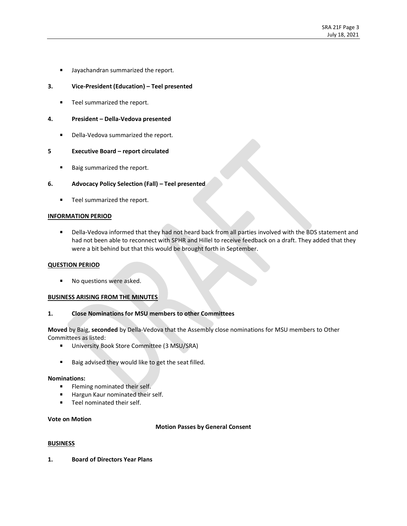**Jayachandran summarized the report.** 

## **3. Vice-President (Education) – Teel presented**

■ Teel summarized the report.

### **4. President – Della-Vedova presented**

 $\mathbf{r}$ Della-Vedova summarized the report.

### **5 Executive Board – report circulated**

Baig summarized the report.  $\blacksquare$ 

## **6. Advocacy Policy Selection (Fall) – Teel presented**

**Teel summarized the report.** 

### **INFORMATION PERIOD**

**Phila-Vedova informed that they had not heard back from all parties involved with the BDS statement and** had not been able to reconnect with SPHR and Hillel to receive feedback on a draft. They added that they were a bit behind but that this would be brought forth in September.

### **QUESTION PERIOD**

No questions were asked.  $\mathbf{r}$ 

### **BUSINESS ARISING FROM THE MINUTES**

### **1. Close Nominations for MSU members to other Committees**

**Moved** by Baig, **seconded** by Della-Vedova that the Assembly close nominations for MSU members to Other Committees as listed:

- **University Book Store Committee (3 MSU/SRA)**
- Baig advised they would like to get the seat filled.  $\blacksquare$

#### **Nominations:**

- $\blacksquare$ Fleming nominated their self.
- Hargun Kaur nominated their self.  $\blacksquare$
- $\blacksquare$ Teel nominated their self.

#### **Vote on Motion**

### **Motion Passes by General Consent**

### **BUSINESS**

**1. Board of Directors Year Plans**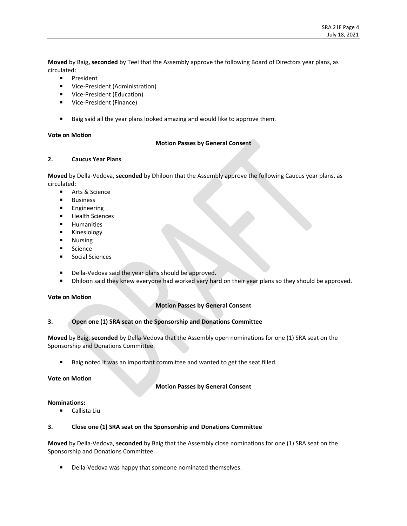**Moved** by Baig**, seconded** by Teel that the Assembly approve the following Board of Directors year plans, as circulated:

- $\blacksquare$ President
- **UICE-President (Administration)**
- **Vice-President (Education)**
- Vice-President (Finance)
- Baig said all the year plans looked amazing and would like to approve them.  $\mathbf{r}$

## **Vote on Motion**

## **Motion Passes by General Consent**

## **2. Caucus Year Plans**

**Moved** by Della-Vedova, **seconded** by Dhiloon that the Assembly approve the following Caucus year plans, as circulated:

- $\blacksquare$ Arts & Science
- $\blacksquare$ Business
- $\blacksquare$ Engineering
- $\blacksquare$ Health Sciences
- $\blacksquare$ Humanities
- $\blacksquare$ Kinesiology
- $\blacksquare$ Nursing
- Science   $\blacksquare$
- $\blacksquare$ Social Sciences
- $\mathbf{r}$ Della-Vedova said the year plans should be approved.
- $\blacksquare$ Dhiloon said they knew everyone had worked very hard on their year plans so they should be approved.

## **Vote on Motion**

## **Motion Passes by General Consent**

## **3. Open one (1) SRA seat on the Sponsorship and Donations Committee**

**Moved** by Baig, **seconded** by Della-Vedova that the Assembly open nominations for one (1) SRA seat on the Sponsorship and Donations Committee.

Baig noted it was an important committee and wanted to get the seat filled.

### **Vote on Motion**

### **Motion Passes by General Consent**

### **Nominations:**

Callista Liu  $\blacksquare$ 

# **3. Close one (1) SRA seat on the Sponsorship and Donations Committee**

**Moved** by Della-Vedova, **seconded** by Baig that the Assembly close nominations for one (1) SRA seat on the Sponsorship and Donations Committee.

Della-Vedova was happy that someone nominated themselves. $\blacksquare$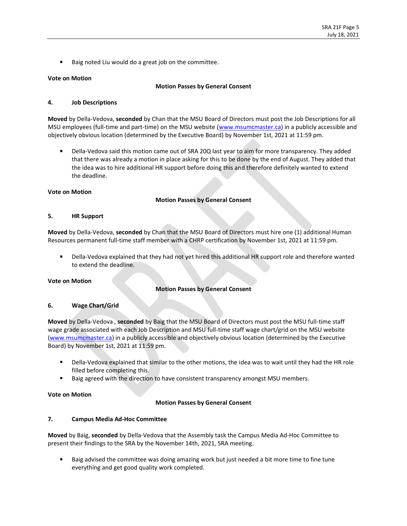$\blacksquare$ Baig noted Liu would do a great job on the committee.

## **Vote on Motion**

### **Motion Passes by General Consent**

# **4. Job Descriptions**

**Moved** by Della-Vedova, **seconded** by Chan that the MSU Board of Directors must post the Job Descriptions for all MSU employees (full-time and part-time) on the MSU website [\(www.msumcmaster.ca\)](http://www.msumcmaster.ca/) in a publicly accessible and objectively obvious location (determined by the Executive Board) by November 1st, 2021 at 11:59 pm.

Della-Vedova said this motion came out of SRA 20Q last year to aim for more transparency. They added that there was already a motion in place asking for this to be done by the end of August. They added that the idea was to hire additional HR support before doing this and therefore definitely wanted to extend the deadline.

## **Vote on Motion**

## **Motion Passes by General Consent**

## **5. HR Support**

**Moved** by Della-Vedova, **seconded** by Chan that the MSU Board of Directors must hire one (1) additional Human Resources permanent full-time staff member with a CHRP certification by November 1st, 2021 at 11:59 pm.

Della-Vedova explained that they had not yet hired this additional HR support role and therefore wanted to extend the deadline.

### **Vote on Motion**

## **Motion Passes by General Consent**

### **6. Wage Chart/Grid**

**Moved** by Della-Vedova , **seconded** by Baig that the MSU Board of Directors must post the MSU full-time staff wage grade associated with each Job Description and MSU full-time staff wage chart/grid on the MSU website [\(www.msumcmaster.ca\)](http://www.msumcmaster.ca/) in a publicly accessible and objectively obvious location (determined by the Executive Board) by November 1st, 2021 at 11:59 pm.

- Della-Vedova explained that similar to the other motions, the idea was to wait until they had the HR role filled before completing this.
- Baig agreed with the direction to have consistent transparency amongst MSU members.

### **Vote on Motion**

## **Motion Passes by General Consent**

## **7. Campus Media Ad-Hoc Committee**

**Moved** by Baig, **seconded** by Della-Vedova that the Assembly task the Campus Media Ad-Hoc Committee to present their findings to the SRA by the November 14th, 2021, SRA meeting.

Baig advised the committee was doing amazing work but just needed a bit more time to fine tune everything and get good quality work completed.